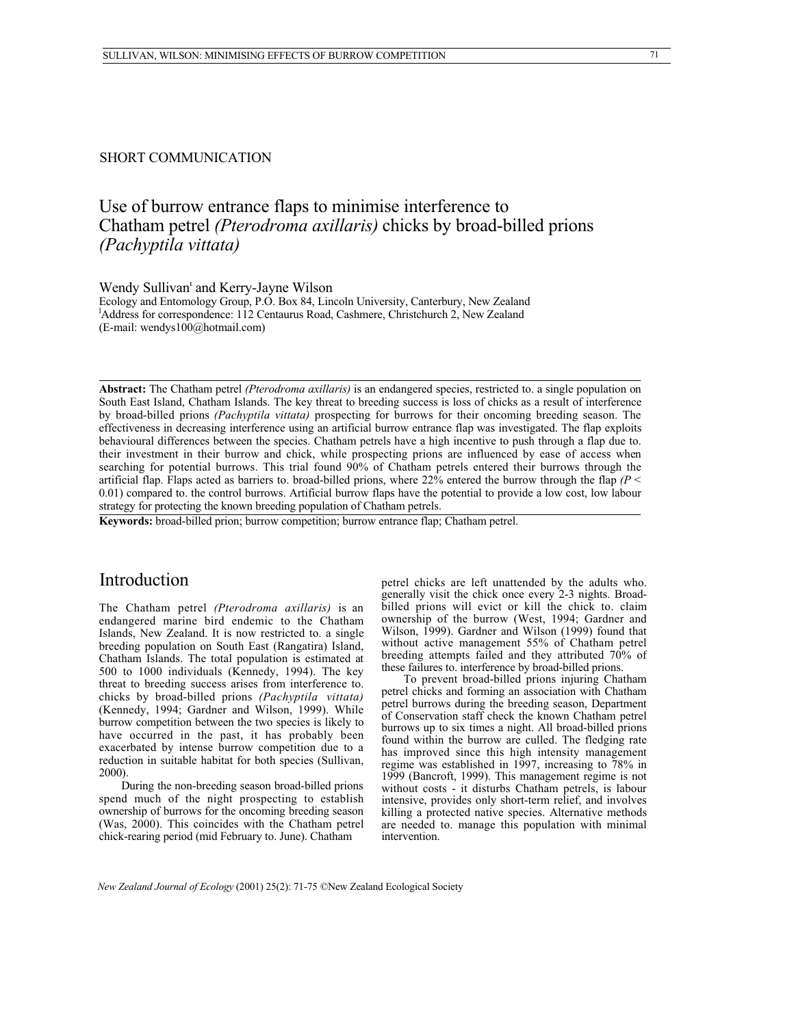### SHORT COMMUNICATION

# Use of burrow entrance flaps to minimise interference to Chatham petrel *(Pterodroma axillaris)* chicks by broad-billed prions *(Pachyptila vittata)*

Wendy Sullivan' and Kerry-Jayne Wilson

Ecology and Entomology Group, P.O. Box 84, Lincoln University, Canterbury, New Zealand <sup>1</sup>Address for correspondence: 112 Centaurus Road, Cashmere, Christchurch 2, New Zealand (E-mail: wendys100@hotmail.com)

**Abstract:** The Chatham petrel *(Pterodroma axillaris)* is an endangered species, restricted to. a single population on South East Island, Chatham Islands. The key threat to breeding success is loss of chicks as a result of interference by broad-billed prions *(Pachyptila vittata)* prospecting for burrows for their oncoming breeding season. The effectiveness in decreasing interference using an artificial burrow entrance flap was investigated. The flap exploits behavioural differences between the species. Chatham petrels have a high incentive to push through a flap due to. their investment in their burrow and chick, while prospecting prions are influenced by ease of access when searching for potential burrows. This trial found 90% of Chatham petrels entered their burrows through the artificial flap. Flaps acted as barriers to. broad-billed prions, where 22% entered the burrow through the flap *(P* < 0.01) compared to. the control burrows. Artificial burrow flaps have the potential to provide a low cost, low labour strategy for protecting the known breeding population of Chatham petrels.

**Keywords:** broad-billed prion; burrow competition; burrow entrance flap; Chatham petrel.

## Introduction

The Chatham petrel *(Pterodroma axillaris)* is an endangered marine bird endemic to the Chatham Islands, New Zealand. It is now restricted to. a single breeding population on South East (Rangatira) Island, Chatham Islands. The total population is estimated at 500 to 1000 individuals (Kennedy, 1994). The key threat to breeding success arises from interference to. chicks by broad-billed prions *(Pachyptila vittata)* (Kennedy, 1994; Gardner and Wilson, 1999). While burrow competition between the two species is likely to have occurred in the past, it has probably been exacerbated by intense burrow competition due to a reduction in suitable habitat for both species (Sullivan, 2000).

During the non-breeding season broad-billed prions spend much of the night prospecting to establish ownership of burrows for the oncoming breeding season (Was, 2000). This coincides with the Chatham petrel chick-rearing period (mid February to. June). Chatham

petrel chicks are left unattended by the adults who. generally visit the chick once every 2-3 nights. Broadbilled prions will evict or kill the chick to. claim ownership of the burrow (West, 1994; Gardner and Wilson, 1999). Gardner and Wilson (1999) found that without active management 55% of Chatham petrel breeding attempts failed and they attributed 70% of these failures to. interference by broad-billed prions.

To prevent broad-billed prions injuring Chatham petrel chicks and forming an association with Chatham petrel burrows during the breeding season, Department of Conservation staff check the known Chatham petrel burrows up to six times a night. All broad-billed prions found within the burrow are culled. The fledging rate has improved since this high intensity management regime was established in 1997, increasing to 78% in 1999 (Bancroft, 1999). This management regime is not without costs - it disturbs Chatham petrels, is labour intensive, provides only short-term relief, and involves killing a protected native species. Alternative methods are needed to. manage this population with minimal intervention.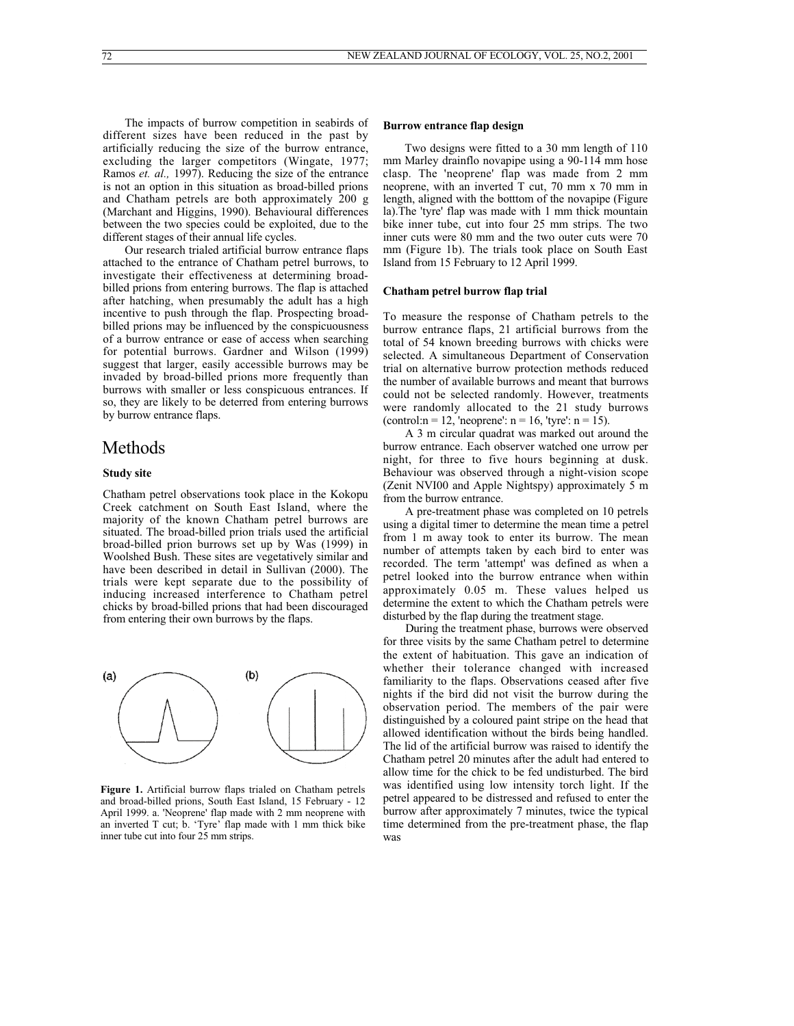The impacts of burrow competition in seabirds of different sizes have been reduced in the past by artificially reducing the size of the burrow entrance, excluding the larger competitors (Wingate, 1977; Ramos *et. al.,* 1997). Reducing the size of the entrance is not an option in this situation as broad-billed prions and Chatham petrels are both approximately 200 g (Marchant and Higgins, 1990). Behavioural differences between the two species could be exploited, due to the different stages of their annual life cycles.

Our research trialed artificial burrow entrance flaps attached to the entrance of Chatham petrel burrows, to investigate their effectiveness at determining broadbilled prions from entering burrows. The flap is attached after hatching, when presumably the adult has a high incentive to push through the flap. Prospecting broadbilled prions may be influenced by the conspicuousness of a burrow entrance or ease of access when searching for potential burrows. Gardner and Wilson (1999) suggest that larger, easily accessible burrows may be invaded by broad-billed prions more frequently than burrows with smaller or less conspicuous entrances. If so, they are likely to be deterred from entering burrows by burrow entrance flaps.

## Methods

#### **Study site**

Chatham petrel observations took place in the Kokopu Creek catchment on South East Island, where the majority of the known Chatham petrel burrows are situated. The broad-billed prion trials used the artificial broad-billed prion burrows set up by Was (1999) in Woolshed Bush. These sites are vegetatively similar and have been described in detail in Sullivan (2000). The trials were kept separate due to the possibility of inducing increased interference to Chatham petrel chicks by broad-billed prions that had been discouraged from entering their own burrows by the flaps.

### Two designs were fitted to a 30 mm length of 110

**Burrow entrance flap design**

mm Marley drainflo novapipe using a 90-114 mm hose clasp. The 'neoprene' flap was made from 2 mm neoprene, with an inverted T cut, 70 mm x 70 mm in length, aligned with the botttom of the novapipe (Figure la).The 'tyre' flap was made with 1 mm thick mountain bike inner tube, cut into four 25 mm strips. The two inner cuts were 80 mm and the two outer cuts were 70 mm (Figure 1b). The trials took place on South East Island from 15 February to 12 April 1999.

### **Chatham petrel burrow flap trial**

To measure the response of Chatham petrels to the burrow entrance flaps, 21 artificial burrows from the total of 54 known breeding burrows with chicks were selected. A simultaneous Department of Conservation trial on alternative burrow protection methods reduced the number of available burrows and meant that burrows could not be selected randomly. However, treatments were randomly allocated to the 21 study burrows (control: $n = 12$ , 'neoprene':  $n = 16$ , 'tyre':  $n = 15$ ).

A 3 m circular quadrat was marked out around the burrow entrance. Each observer watched one urrow per night, for three to five hours beginning at dusk. Behaviour was observed through a night-vision scope (Zenit NVI00 and Apple Nightspy) approximately 5 m from the burrow entrance.

A pre-treatment phase was completed on 10 petrels using a digital timer to determine the mean time a petrel from 1 m away took to enter its burrow. The mean number of attempts taken by each bird to enter was recorded. The term 'attempt' was defined as when a petrel looked into the burrow entrance when within approximately 0.05 m. These values helped us determine the extent to which the Chatham petrels were disturbed by the flap during the treatment stage.

During the treatment phase, burrows were observed for three visits by the same Chatham petrel to determine the extent of habituation. This gave an indication of whether their tolerance changed with increased familiarity to the flaps. Observations ceased after five nights if the bird did not visit the burrow during the observation period. The members of the pair were distinguished by a coloured paint stripe on the head that allowed identification without the birds being handled. The lid of the artificial burrow was raised to identify the Chatham petrel 20 minutes after the adult had entered to allow time for the chick to be fed undisturbed. The bird was identified using low intensity torch light. If the petrel appeared to be distressed and refused to enter the burrow after approximately 7 minutes, twice the typical time determined from the pre-treatment phase, the flap was

**Figure 1.** Artificial burrow flaps trialed on Chatham petrels and broad-billed prions, South East Island, 15 February - 12 April 1999. a. 'Neoprene' flap made with 2 mm neoprene with an inverted T cut; b. 'Tyre' flap made with 1 mm thick bike inner tube cut into four 25 mm strips.

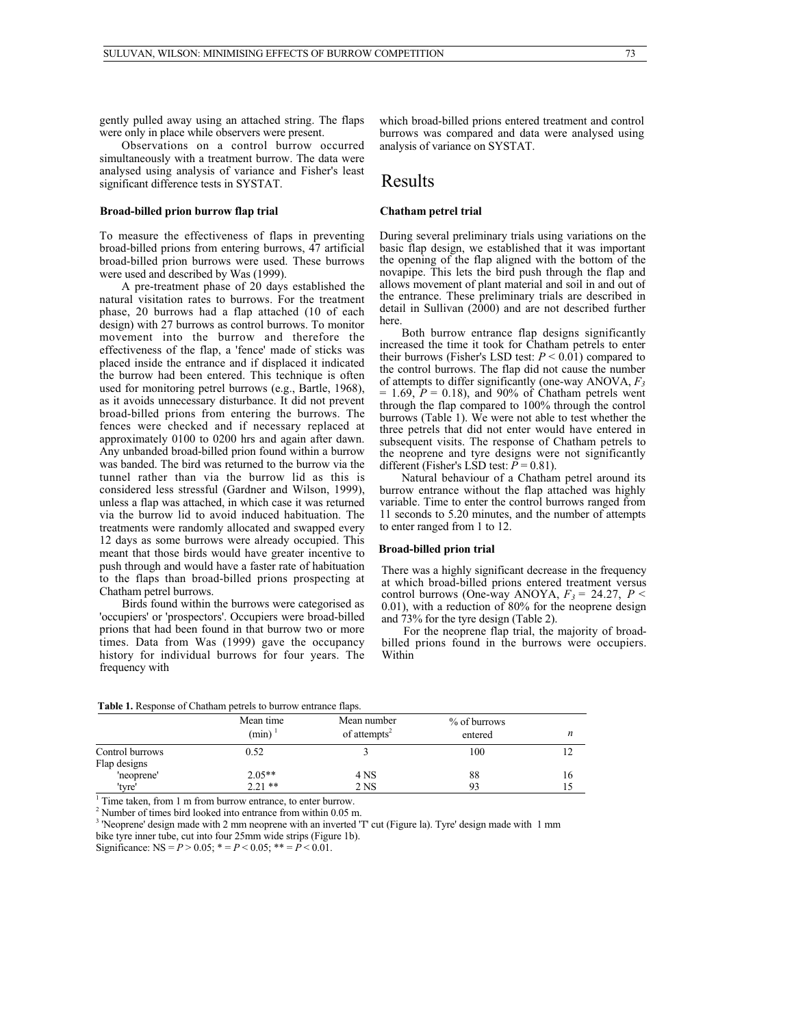gently pulled away using an attached string. The flaps were only in place while observers were present.

Observations on a control burrow occurred simultaneously with a treatment burrow. The data were analysed using analysis of variance and Fisher's least significant difference tests in SYSTAT.

#### **Broad-billed prion burrow flap trial**

To measure the effectiveness of flaps in preventing broad-billed prions from entering burrows, 47 artificial broad-billed prion burrows were used. These burrows were used and described by Was (1999).

A pre-treatment phase of 20 days established the natural visitation rates to burrows. For the treatment phase, 20 burrows had a flap attached (10 of each design) with 27 burrows as control burrows. To monitor movement into the burrow and therefore the effectiveness of the flap, a 'fence' made of sticks was placed inside the entrance and if displaced it indicated the burrow had been entered. This technique is often used for monitoring petrel burrows (e.g., Bartle, 1968), as it avoids unnecessary disturbance. It did not prevent broad-billed prions from entering the burrows. The fences were checked and if necessary replaced at approximately 0100 to 0200 hrs and again after dawn. Any unbanded broad-billed prion found within a burrow was banded. The bird was returned to the burrow via the tunnel rather than via the burrow lid as this is considered less stressful (Gardner and Wilson, 1999), unless a flap was attached, in which case it was returned via the burrow lid to avoid induced habituation. The treatments were randomly allocated and swapped every 12 days as some burrows were already occupied. This meant that those birds would have greater incentive to push through and would have a faster rate of habituation to the flaps than broad-billed prions prospecting at Chatham petrel burrows.

Birds found within the burrows were categorised as 'occupiers' or 'prospectors'. Occupiers were broad-billed prions that had been found in that burrow two or more times. Data from Was (1999) gave the occupancy history for individual burrows for four years. The frequency with

which broad-billed prions entered treatment and control burrows was compared and data were analysed using analysis of variance on SYSTAT.

### Results

### **Chatham petrel trial**

During several preliminary trials using variations on the basic flap design, we established that it was important the opening of the flap aligned with the bottom of the novapipe. This lets the bird push through the flap and allows movement of plant material and soil in and out of the entrance. These preliminary trials are described in detail in Sullivan (2000) and are not described further here.

Both burrow entrance flap designs significantly increased the time it took for Chatham petrels to enter their burrows (Fisher's LSD test:  $P < 0.01$ ) compared to the control burrows. The flap did not cause the number of attempts to differ significantly (one-way ANOVA, *F3*  $= 1.69$ ,  $P = 0.18$ ), and 90% of Chatham petrels went through the flap compared to 100% through the control burrows (Table 1). We were not able to test whether the three petrels that did not enter would have entered in subsequent visits. The response of Chatham petrels to the neoprene and tyre designs were not significantly different (Fisher's LSD test:  $P = 0.81$ ).

Natural behaviour of a Chatham petrel around its burrow entrance without the flap attached was highly variable. Time to enter the control burrows ranged from 11 seconds to 5.20 minutes, and the number of attempts to enter ranged from 1 to 12.

#### **Broad-billed prion trial**

There was a highly significant decrease in the frequency at which broad-billed prions entered treatment versus control burrows (One-way ANOYA,  $F_3 = 24.27$ ,  $P \leq$ 0.01), with a reduction of 80% for the neoprene design and 73% for the tyre design (Table 2).

For the neoprene flap trial, the majority of broadbilled prions found in the burrows were occupiers. Within

|                                 | Mean time<br>(min) | Mean number<br>of attempts <sup>2</sup> | $%$ of burrows<br>entered |    |  |
|---------------------------------|--------------------|-----------------------------------------|---------------------------|----|--|
| Control burrows<br>Flap designs | 0.52               |                                         | 100                       |    |  |
| 'neoprene'                      | $2.05**$           | 4 NS                                    | 88                        | 16 |  |
| 'tvre'                          | $2.21$ **          | 2 NS                                    | 93                        |    |  |

<sup>1</sup> Time taken, from 1 m from burrow entrance, to enter burrow.

 $2^2$  Number of times bird looked into entrance from within 0.05 m.

<sup>3</sup> 'Neoprene' design made with 2 mm neoprene with an inverted 'T' cut (Figure la). Tyre' design made with 1 mm bike tyre inner tube, cut into four 25mm wide strips (Figure 1b).

Significance:  $NS = P > 0.05$ ;  $* = P < 0.05$ ;  $* = P < 0.01$ .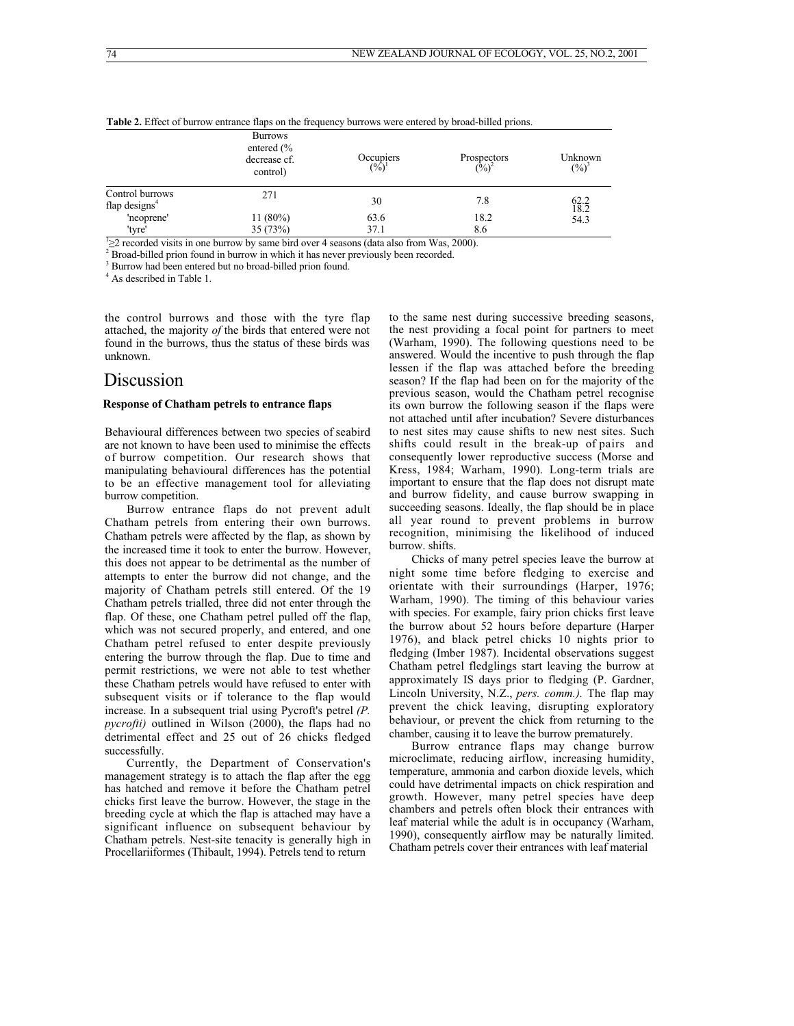|                                     | <b>Burrows</b><br>entered $\frac{6}{6}$<br>decrease cf.<br>control) | Occupiers<br>$\binom{0}{0}^1$ | Prospectors<br>$\binom{0}{0}^2$ | Unknown<br>$(\frac{9}{6})^3$ |
|-------------------------------------|---------------------------------------------------------------------|-------------------------------|---------------------------------|------------------------------|
| Control burrows<br>flap designs $4$ | 271                                                                 | 30                            | 7.8                             | $62.2$<br>18.2               |
| 'neoprene'                          | 11 $(80\%)$                                                         | 63.6                          | 18.2                            | 54.3                         |
| 'tyre'                              | 35(73%)                                                             | 37.1                          | 8.6                             |                              |

**Table 2.** Effect of burrow entrance flaps on the frequency burrows were entered by broad-billed prions.

 $\geq$  2 recorded visits in one burrow by same bird over 4 seasons (data also from Was, 2000).

2 Broad-billed prion found in burrow in which it has never previously been recorded.

3 Burrow had been entered but no broad-billed prion found.

4 As described in Table 1.

the control burrows and those with the tyre flap attached, the majority *of* the birds that entered were not found in the burrows, thus the status of these birds was unknown.

### Discussion

### **Response of Chatham petrels to entrance flaps**

Behavioural differences between two species of seabird are not known to have been used to minimise the effects of burrow competition. Our research shows that manipulating behavioural differences has the potential to be an effective management tool for alleviating burrow competition.

Burrow entrance flaps do not prevent adult Chatham petrels from entering their own burrows. Chatham petrels were affected by the flap, as shown by the increased time it took to enter the burrow. However, this does not appear to be detrimental as the number of attempts to enter the burrow did not change, and the majority of Chatham petrels still entered. Of the 19 Chatham petrels trialled, three did not enter through the flap. Of these, one Chatham petrel pulled off the flap, which was not secured properly, and entered, and one Chatham petrel refused to enter despite previously entering the burrow through the flap. Due to time and permit restrictions, we were not able to test whether these Chatham petrels would have refused to enter with subsequent visits or if tolerance to the flap would increase. In a subsequent trial using Pycroft's petrel *(P. pycrofti)* outlined in Wilson (2000), the flaps had no detrimental effect and 25 out of 26 chicks fledged successfully.

Currently, the Department of Conservation's management strategy is to attach the flap after the egg has hatched and remove it before the Chatham petrel chicks first leave the burrow. However, the stage in the breeding cycle at which the flap is attached may have a significant influence on subsequent behaviour by Chatham petrels. Nest-site tenacity is generally high in Procellariiformes (Thibault, 1994). Petrels tend to return

to the same nest during successive breeding seasons, the nest providing a focal point for partners to meet (Warham, 1990). The following questions need to be answered. Would the incentive to push through the flap lessen if the flap was attached before the breeding season? If the flap had been on for the majority of the previous season, would the Chatham petrel recognise its own burrow the following season if the flaps were not attached until after incubation? Severe disturbances to nest sites may cause shifts to new nest sites. Such shifts could result in the break-up of pairs and consequently lower reproductive success (Morse and Kress, 1984; Warham, 1990). Long-term trials are important to ensure that the flap does not disrupt mate and burrow fidelity, and cause burrow swapping in succeeding seasons. Ideally, the flap should be in place all year round to prevent problems in burrow recognition, minimising the likelihood of induced burrow. shifts.

Chicks of many petrel species leave the burrow at night some time before fledging to exercise and orientate with their surroundings (Harper, 1976; Warham, 1990). The timing of this behaviour varies with species. For example, fairy prion chicks first leave the burrow about 52 hours before departure (Harper 1976), and black petrel chicks 10 nights prior to fledging (Imber 1987). Incidental observations suggest Chatham petrel fledglings start leaving the burrow at approximately IS days prior to fledging (P. Gardner, Lincoln University, N.Z., *pers. comm.).* The flap may prevent the chick leaving, disrupting exploratory behaviour, or prevent the chick from returning to the chamber, causing it to leave the burrow prematurely.

Burrow entrance flaps may change burrow microclimate, reducing airflow, increasing humidity, temperature, ammonia and carbon dioxide levels, which could have detrimental impacts on chick respiration and growth. However, many petrel species have deep chambers and petrels often block their entrances with leaf material while the adult is in occupancy (Warham, 1990), consequently airflow may be naturally limited. Chatham petrels cover their entrances with leaf material